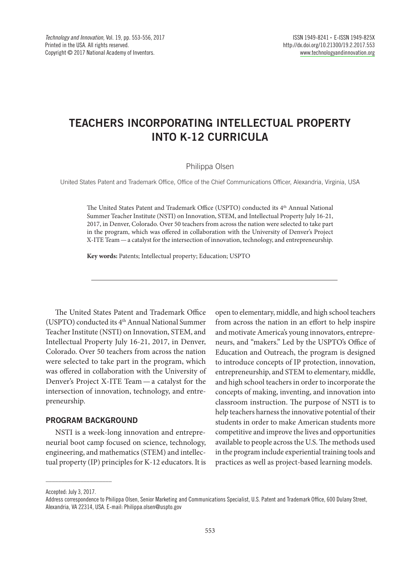# **TEACHERS INCORPORATING INTELLECTUAL PROPERTY INTO K-12 CURRICULA**

#### Philippa Olsen

United States Patent and Trademark Office, Office of the Chief Communications Officer, Alexandria, Virginia, USA

The United States Patent and Trademark Office (USPTO) conducted its 4th Annual National Summer Teacher Institute (NSTI) on Innovation, STEM, and Intellectual Property July 16-21, 2017, in Denver, Colorado. Over 50 teachers from across the nation were selected to take part in the program, which was offered in collaboration with the University of Denver's Project X-ITE Team—a catalyst for the intersection of innovation, technology, and entrepreneurship.

**Key words:** Patents; Intellectual property; Education; USPTO

The United States Patent and Trademark Office (USPTO) conducted its 4<sup>th</sup> Annual National Summer Teacher Institute (NSTI) on Innovation, STEM, and Intellectual Property July 16-21, 2017, in Denver, Colorado. Over 50 teachers from across the nation were selected to take part in the program, which was offered in collaboration with the University of Denver's Project X-ITE Team—a catalyst for the intersection of innovation, technology, and entrepreneurship.

## **PROGRAM BACKGROUND**

NSTI is a week-long innovation and entrepreneurial boot camp focused on science, technology, engineering, and mathematics (STEM) and intellectual property (IP) principles for K-12 educators. It is open to elementary, middle, and high school teachers from across the nation in an effort to help inspire and motivate America's young innovators, entrepreneurs, and "makers." Led by the USPTO's Office of Education and Outreach, the program is designed to introduce concepts of IP protection, innovation, entrepreneurship, and STEM to elementary, middle, and high school teachers in order to incorporate the concepts of making, inventing, and innovation into classroom instruction. The purpose of NSTI is to help teachers harness the innovative potential of their students in order to make American students more competitive and improve the lives and opportunities available to people across the U.S. The methods used in the program include experiential training tools and practices as well as project-based learning models.

Accepted: July 3, 2017.

 $\_$ 

Address correspondence to Philippa Olsen, Senior Marketing and Communications Specialist, U.S. Patent and Trademark Office, 600 Dulany Street, Alexandria, VA 22314, USA. E-mail: Philippa.olsen@uspto.gov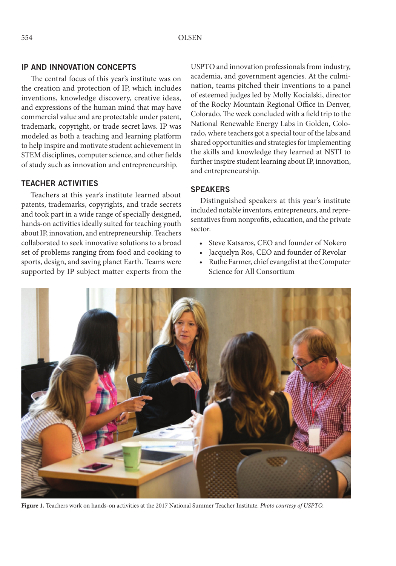## **IP AND INNOVATION CONCEPTS**

The central focus of this year's institute was on the creation and protection of IP, which includes inventions, knowledge discovery, creative ideas, and expressions of the human mind that may have commercial value and are protectable under patent, trademark, copyright, or trade secret laws. IP was modeled as both a teaching and learning platform to help inspire and motivate student achievement in STEM disciplines, computer science, and other fields of study such as innovation and entrepreneurship.

## **TEACHER ACTIVITIES**

Teachers at this year's institute learned about patents, trademarks, copyrights, and trade secrets and took part in a wide range of specially designed, hands-on activities ideally suited for teaching youth about IP, innovation, and entrepreneurship. Teachers collaborated to seek innovative solutions to a broad set of problems ranging from food and cooking to sports, design, and saving planet Earth. Teams were supported by IP subject matter experts from the

USPTO and innovation professionals from industry, academia, and government agencies. At the culmination, teams pitched their inventions to a panel of esteemed judges led by Molly Kocialski, director of the Rocky Mountain Regional Office in Denver, Colorado. The week concluded with a field trip to the National Renewable Energy Labs in Golden, Colorado, where teachers got a special tour of the labs and shared opportunities and strategies for implementing the skills and knowledge they learned at NSTI to further inspire student learning about IP, innovation, and entrepreneurship.

#### **SPEAKERS**

Distinguished speakers at this year's institute included notable inventors, entrepreneurs, and representatives from nonprofits, education, and the private sector.

- Steve Katsaros, CEO and founder of Nokero
- Jacquelyn Ros, CEO and founder of Revolar
- Ruthe Farmer, chief evangelist at the Computer Science for All Consortium



**Figure 1.** Teachers work on hands-on activities at the 2017 National Summer Teacher Institute. *Photo courtesy of USPTO.*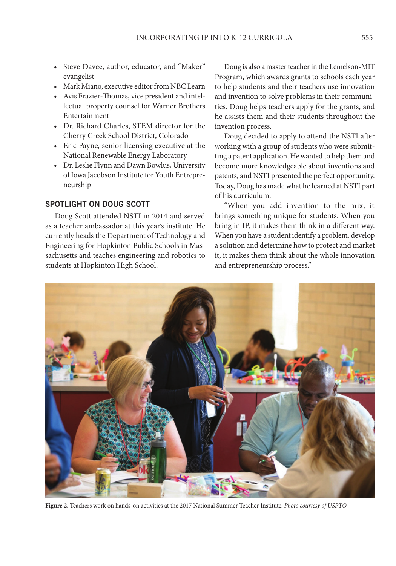- Steve Davee, author, educator, and "Maker" evangelist
- Mark Miano, executive editor from NBC Learn
- Avis Frazier-Thomas, vice president and intellectual property counsel for Warner Brothers Entertainment
- Dr. Richard Charles, STEM director for the Cherry Creek School District, Colorado
- Eric Payne, senior licensing executive at the National Renewable Energy Laboratory
- Dr. Leslie Flynn and Dawn Bowlus, University of Iowa Jacobson Institute for Youth Entrepreneurship

# **SPOTLIGHT ON DOUG SCOTT**

Doug Scott attended NSTI in 2014 and served as a teacher ambassador at this year's institute. He currently heads the Department of Technology and Engineering for Hopkinton Public Schools in Massachusetts and teaches engineering and robotics to students at Hopkinton High School.

Doug is also a master teacher in the Lemelson-MIT Program, which awards grants to schools each year to help students and their teachers use innovation and invention to solve problems in their communities. Doug helps teachers apply for the grants, and he assists them and their students throughout the invention process.

Doug decided to apply to attend the NSTI after working with a group of students who were submitting a patent application. He wanted to help them and become more knowledgeable about inventions and patents, and NSTI presented the perfect opportunity. Today, Doug has made what he learned at NSTI part of his curriculum.

"When you add invention to the mix, it brings something unique for students. When you bring in IP, it makes them think in a different way. When you have a student identify a problem, develop a solution and determine how to protect and market it, it makes them think about the whole innovation and entrepreneurship process."



**Figure 2.** Teachers work on hands-on activities at the 2017 National Summer Teacher Institute. *Photo courtesy of USPTO.*